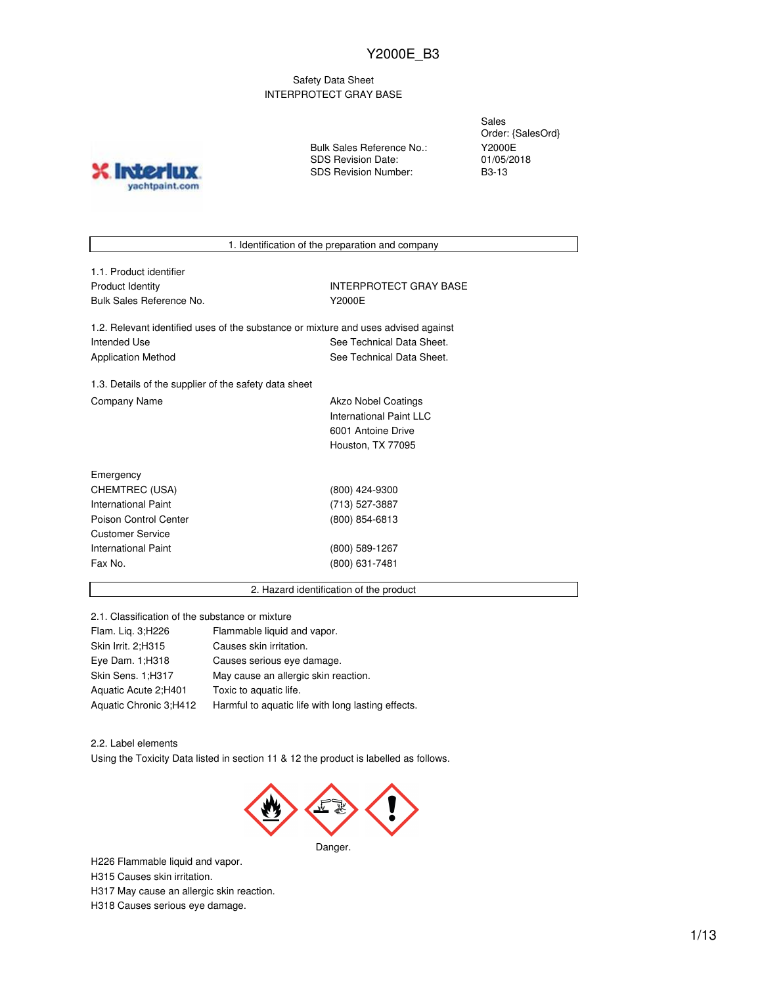#### Safety Data Sheet INTERPROTECT GRAY BASE

**Inter** yachtpaint.com Bulk Sales Reference No.: SDS Revision Date: SDS Revision Number:

Sales Order: {SalesOrd} Y2000E 01/05/2018 B3-13

1. Identification of the preparation and company

| 1.1. Product identifier  |
|--------------------------|
| Product Identity         |
| Bulk Sales Reference No. |

INTERPROTECT GRAY BASE Y2000E

1.2. Relevant identified uses of the substance or mixture and uses advised against Intended Use **See Technical Data Sheet.** See Technical Data Sheet. Application Method See Technical Data Sheet.

1.3. Details of the supplier of the safety data sheet Company Name **Akzo Nobel Coatings** 

International Paint LLC 6001 Antoine Drive Houston, TX 77095

| Emergency             |                |
|-----------------------|----------------|
| CHEMTREC (USA)        | (800) 424-9300 |
| International Paint   | (713) 527-3887 |
| Poison Control Center | (800) 854-6813 |
| Customer Service      |                |
| International Paint   | (800) 589-1267 |
| Fax No.               | (800) 631-7481 |
|                       |                |

#### 2. Hazard identification of the product

2.1. Classification of the substance or mixture

| Flam. Lig. 3; H226     | Flammable liquid and vapor.                        |
|------------------------|----------------------------------------------------|
| Skin Irrit. 2;H315     | Causes skin irritation.                            |
| Eye Dam. 1; H318       | Causes serious eye damage.                         |
| Skin Sens. 1;H317      | May cause an allergic skin reaction.               |
| Aquatic Acute 2;H401   | Toxic to aquatic life.                             |
| Aquatic Chronic 3;H412 | Harmful to aquatic life with long lasting effects. |

2.2. Label elements Using the Toxicity Data listed in section 11 & 12 the product is labelled as follows.



H226 Flammable liquid and vapor. H315 Causes skin irritation. H317 May cause an allergic skin reaction. H318 Causes serious eye damage.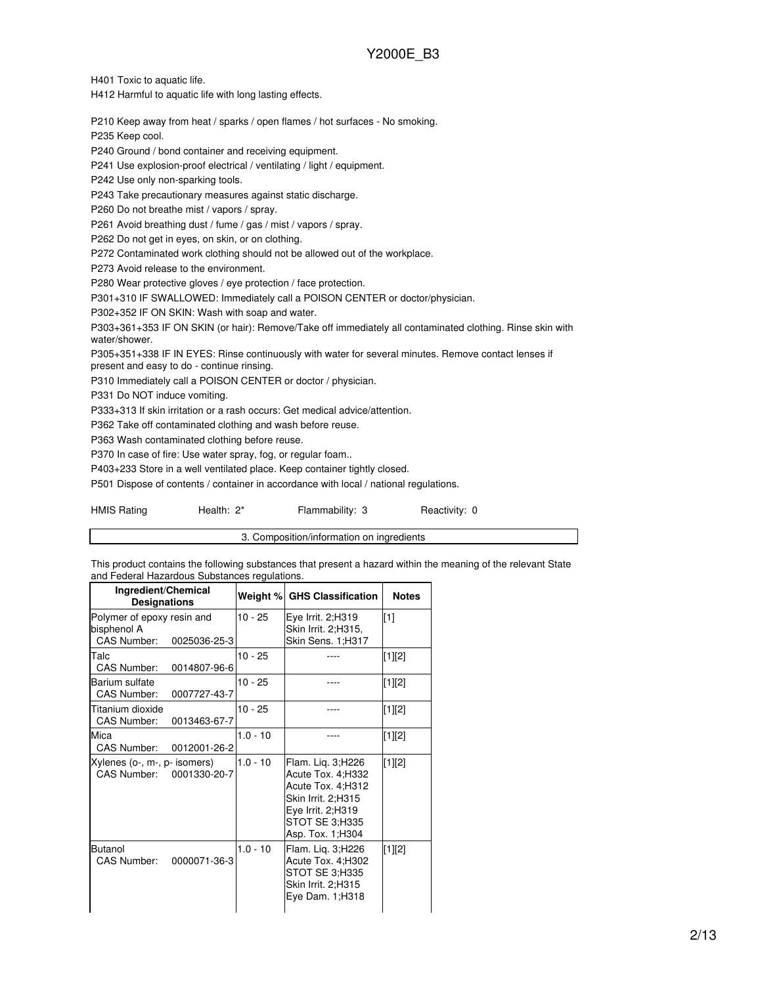H401 Toxic to aquatic life.

H412 Harmful to aquatic life with long lasting effects.

P210 Keep away from heat / sparks / open flames / hot surfaces - No smoking.

P235 Keep cool.

P240 Ground / bond container and receiving equipment.

P241 Use explosion-proof electrical / ventilating / light / equipment.

P242 Use only non-sparking tools.

P243 Take precautionary measures against static discharge.

P260 Do not breathe mist / vapors / spray.

P261 Avoid breathing dust / fume / gas / mist / vapors / spray.

P262 Do not get in eyes, on skin, or on clothing.

P272 Contaminated work clothing should not be allowed out of the workplace.

P273 Avoid release to the environment.

P280 Wear protective gloves / eye protection / face protection.

P301+310 IF SWALLOWED: Immediately call a POISON CENTER or doctor/physician.

P302+352 IF ON SKIN: Wash with soap and water.

P303+361+353 IF ON SKIN (or hair): Remove/Take off immediately all contaminated clothing. Rinse skin with water/shower.

P305+351+338 IF IN EYES: Rinse continuously with water for several minutes. Remove contact lenses if present and easy to do - continue rinsing.

P310 Immediately call a POISON CENTER or doctor / physician.

P331 Do NOT induce vomiting.

P333+313 If skin irritation or a rash occurs: Get medical advice/attention.

P362 Take off contaminated clothing and wash before reuse.

P363 Wash contaminated clothing before reuse.

P370 In case of fire: Use water spray, fog, or regular foam..

P403+233 Store in a well ventilated place. Keep container tightly closed.

P501 Dispose of contents / container in accordance with local / national regulations.

HMIS Rating **Health: 2\*** Flammability: 3 Reactivity: 0

3. Composition/information on ingredients

This product contains the following substances that present a hazard within the meaning of the relevant State and Federal Hazardous Substances regulations.

| Ingredient/Chemical<br><b>Designations</b>                               | Weight %   | <b>GHS Classification</b>                                                                                                                        | <b>Notes</b> |
|--------------------------------------------------------------------------|------------|--------------------------------------------------------------------------------------------------------------------------------------------------|--------------|
| Polymer of epoxy resin and<br>bisphenol A<br>CAS Number:<br>0025036-25-3 | $10 - 25$  | Eye Irrit. 2;H319<br>Skin Irrit. 2;H315,<br>Skin Sens. 1;H317                                                                                    | [1]          |
| Talc<br>CAS Number:<br>0014807-96-6                                      | $10 - 25$  |                                                                                                                                                  | [1][2]       |
| Barium sulfate<br><b>CAS Number:</b><br>0007727-43-7                     | $10 - 25$  |                                                                                                                                                  | [1][2]       |
| Titanium dioxide<br><b>CAS Number:</b><br>0013463-67-7                   | $10 - 25$  |                                                                                                                                                  | [1][2]       |
| Mica<br>CAS Number:<br>0012001-26-2                                      | $1.0 - 10$ |                                                                                                                                                  | [1][2]       |
| Xylenes (o-, m-, p- isomers)<br>CAS Number: 0001330-20-7                 | $1.0 - 10$ | Flam. Lig. 3; H226<br>Acute Tox. 4; H332<br>Acute Tox. 4; H312<br>Skin Irrit. 2:H315<br>Eye Irrit. 2:H319<br>STOT SE 3;H335<br>Asp. Tox. 1; H304 | [1][2]       |
| Butanol<br>CAS Number:<br>0000071-36-3                                   | $1.0 - 10$ | Flam. Lig. 3; H226<br>Acute Tox. 4; H302<br>STOT SE 3;H335<br>Skin Irrit. 2;H315<br>Eye Dam. 1;H318                                              | [1][2]       |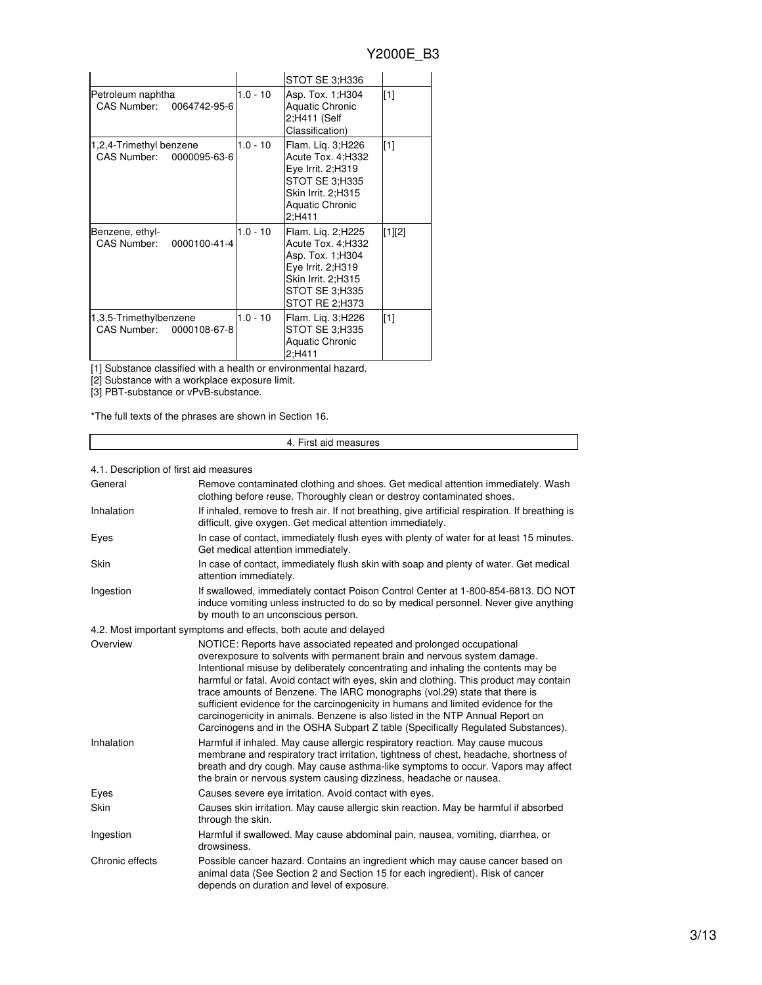|                                                     |            | STOT SE 3;H336                                                                                                                             |             |
|-----------------------------------------------------|------------|--------------------------------------------------------------------------------------------------------------------------------------------|-------------|
| Petroleum naphtha<br>CAS Number: 0064742-95-6       | $1.0 - 10$ | Asp. Tox. 1; H304<br><b>Aquatic Chronic</b><br>2;H411 (Self<br>Classification)                                                             | [1]         |
| 1,2,4-Trimethyl benzene<br>CAS Number: 0000095-63-6 | $1.0 - 10$ | Flam. Lig. 3;H226<br>Acute Tox. 4: H332<br>Eye Irrit. 2;H319<br>STOT SE 3;H335<br>Skin Irrit. 2;H315<br><b>Aquatic Chronic</b><br>2:H411   | $\sqrt{11}$ |
| Benzene, ethyl-<br>CAS Number:<br>0000100-41-4      | $1.0 - 10$ | Flam. Lig. 2;H225<br>Acute Tox. 4;H332<br>Asp. Tox. 1; H304<br>Eye Irrit. 2;H319<br>Skin Irrit. 2:H315<br>STOT SE 3;H335<br>STOT RE 2:H373 | [1][2]      |
| 1,3,5-Trimethylbenzene<br>CAS Number: 0000108-67-8  | $1.0 - 10$ | Flam. Lig. 3;H226<br>STOT SE 3:H335<br><b>Aquatic Chronic</b><br>2:H411                                                                    | [1]         |

[1] Substance classified with a health or environmental hazard.

[2] Substance with a workplace exposure limit.

[3] PBT-substance or vPvB-substance.

\*The full texts of the phrases are shown in Section 16.

#### 4. First aid measures

#### 4.1. Description of first aid measures

| General         | Remove contaminated clothing and shoes. Get medical attention immediately. Wash<br>clothing before reuse. Thoroughly clean or destroy contaminated shoes.                                                                                                                                                                                                                                                                                                                                                                                                                                                                                                                |
|-----------------|--------------------------------------------------------------------------------------------------------------------------------------------------------------------------------------------------------------------------------------------------------------------------------------------------------------------------------------------------------------------------------------------------------------------------------------------------------------------------------------------------------------------------------------------------------------------------------------------------------------------------------------------------------------------------|
| Inhalation      | If inhaled, remove to fresh air. If not breathing, give artificial respiration. If breathing is<br>difficult, give oxygen. Get medical attention immediately.                                                                                                                                                                                                                                                                                                                                                                                                                                                                                                            |
| Eyes            | In case of contact, immediately flush eyes with plenty of water for at least 15 minutes.<br>Get medical attention immediately.                                                                                                                                                                                                                                                                                                                                                                                                                                                                                                                                           |
| Skin            | In case of contact, immediately flush skin with soap and plenty of water. Get medical<br>attention immediately.                                                                                                                                                                                                                                                                                                                                                                                                                                                                                                                                                          |
| Ingestion       | If swallowed, immediately contact Poison Control Center at 1-800-854-6813. DO NOT<br>induce vomiting unless instructed to do so by medical personnel. Never give anything<br>by mouth to an unconscious person.                                                                                                                                                                                                                                                                                                                                                                                                                                                          |
|                 | 4.2. Most important symptoms and effects, both acute and delayed                                                                                                                                                                                                                                                                                                                                                                                                                                                                                                                                                                                                         |
| Overview        | NOTICE: Reports have associated repeated and prolonged occupational<br>overexposure to solvents with permanent brain and nervous system damage.<br>Intentional misuse by deliberately concentrating and inhaling the contents may be<br>harmful or fatal. Avoid contact with eyes, skin and clothing. This product may contain<br>trace amounts of Benzene. The IARC monographs (vol.29) state that there is<br>sufficient evidence for the carcinogenicity in humans and limited evidence for the<br>carcinogenicity in animals. Benzene is also listed in the NTP Annual Report on<br>Carcinogens and in the OSHA Subpart Z table (Specifically Regulated Substances). |
| Inhalation      | Harmful if inhaled. May cause allergic respiratory reaction. May cause mucous<br>membrane and respiratory tract irritation, tightness of chest, headache, shortness of<br>breath and dry cough. May cause asthma-like symptoms to occur. Vapors may affect<br>the brain or nervous system causing dizziness, headache or nausea.                                                                                                                                                                                                                                                                                                                                         |
| Eyes            | Causes severe eye irritation. Avoid contact with eyes.                                                                                                                                                                                                                                                                                                                                                                                                                                                                                                                                                                                                                   |
| Skin            | Causes skin irritation. May cause allergic skin reaction. May be harmful if absorbed<br>through the skin.                                                                                                                                                                                                                                                                                                                                                                                                                                                                                                                                                                |
| Ingestion       | Harmful if swallowed. May cause abdominal pain, nausea, vomiting, diarrhea, or<br>drowsiness.                                                                                                                                                                                                                                                                                                                                                                                                                                                                                                                                                                            |
| Chronic effects | Possible cancer hazard. Contains an ingredient which may cause cancer based on<br>animal data (See Section 2 and Section 15 for each ingredient). Risk of cancer<br>depends on duration and level of exposure.                                                                                                                                                                                                                                                                                                                                                                                                                                                           |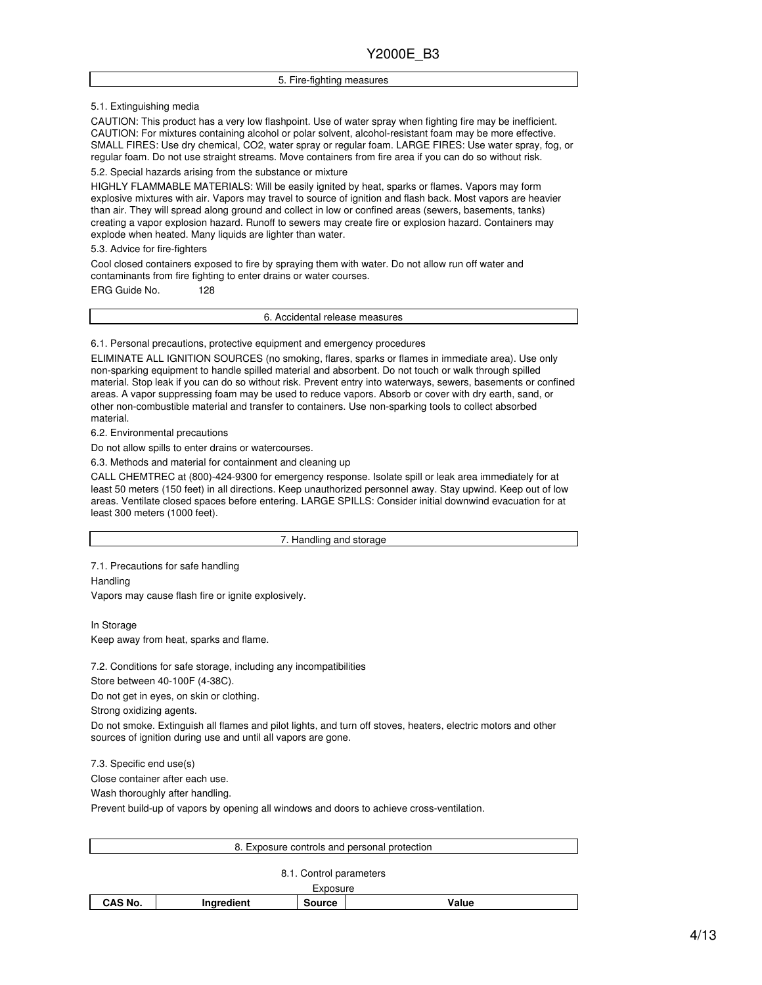#### 5. Fire-fighting measures

5.1. Extinguishing media

CAUTION: This product has a very low flashpoint. Use of water spray when fighting fire may be inefficient. CAUTION: For mixtures containing alcohol or polar solvent, alcohol-resistant foam may be more effective. SMALL FIRES: Use dry chemical, CO2, water spray or regular foam. LARGE FIRES: Use water spray, fog, or regular foam. Do not use straight streams. Move containers from fire area if you can do so without risk.

5.2. Special hazards arising from the substance or mixture

HIGHLY FLAMMABLE MATERIALS: Will be easily ignited by heat, sparks or flames. Vapors may form explosive mixtures with air. Vapors may travel to source of ignition and flash back. Most vapors are heavier than air. They will spread along ground and collect in low or confined areas (sewers, basements, tanks) creating a vapor explosion hazard. Runoff to sewers may create fire or explosion hazard. Containers may explode when heated. Many liquids are lighter than water.

5.3. Advice for fire-fighters

Cool closed containers exposed to fire by spraying them with water. Do not allow run off water and contaminants from fire fighting to enter drains or water courses.

ERG Guide No. 128

6. Accidental release measures

6.1. Personal precautions, protective equipment and emergency procedures

ELIMINATE ALL IGNITION SOURCES (no smoking, flares, sparks or flames in immediate area). Use only non-sparking equipment to handle spilled material and absorbent. Do not touch or walk through spilled material. Stop leak if you can do so without risk. Prevent entry into waterways, sewers, basements or confined areas. A vapor suppressing foam may be used to reduce vapors. Absorb or cover with dry earth, sand, or other non-combustible material and transfer to containers. Use non-sparking tools to collect absorbed material.

6.2. Environmental precautions

Do not allow spills to enter drains or watercourses.

6.3. Methods and material for containment and cleaning up

CALL CHEMTREC at (800)-424-9300 for emergency response. Isolate spill or leak area immediately for at least 50 meters (150 feet) in all directions. Keep unauthorized personnel away. Stay upwind. Keep out of low areas. Ventilate closed spaces before entering. LARGE SPILLS: Consider initial downwind evacuation for at least 300 meters (1000 feet).

7. Handling and storage

7.1. Precautions for safe handling

**Handling** 

Vapors may cause flash fire or ignite explosively.

In Storage Keep away from heat, sparks and flame.

7.2. Conditions for safe storage, including any incompatibilities

Store between 40-100F (4-38C).

Do not get in eyes, on skin or clothing.

Strong oxidizing agents.

Do not smoke. Extinguish all flames and pilot lights, and turn off stoves, heaters, electric motors and other sources of ignition during use and until all vapors are gone.

7.3. Specific end use(s)

Close container after each use.

Wash thoroughly after handling.

Prevent build-up of vapors by opening all windows and doors to achieve cross-ventilation.

|         |            | 8. Exposure controls and personal protection |       |  |
|---------|------------|----------------------------------------------|-------|--|
|         |            | 8.1. Control parameters                      |       |  |
|         |            | Exposure                                     |       |  |
| CAS No. | Ingredient | <b>Source</b>                                | Value |  |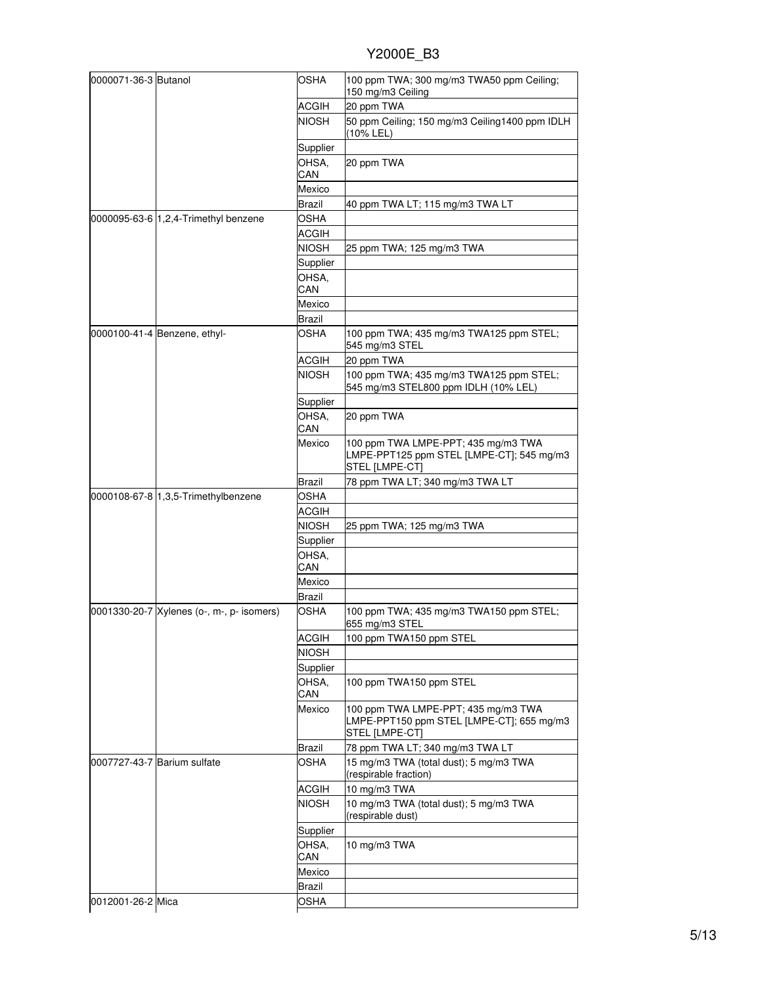| 0000071-36-3 Butanol                      | <b>OSHA</b>                  | 100 ppm TWA; 300 mg/m3 TWA50 ppm Ceiling;<br>150 mg/m3 Ceiling                                     |
|-------------------------------------------|------------------------------|----------------------------------------------------------------------------------------------------|
|                                           | ACGIH                        | 20 ppm TWA                                                                                         |
|                                           | <b>NIOSH</b>                 | 50 ppm Ceiling; 150 mg/m3 Ceiling1400 ppm IDLH<br>(10% LEL)                                        |
|                                           | Supplier                     |                                                                                                    |
|                                           | OHSA.<br>CAN                 | 20 ppm TWA                                                                                         |
|                                           | Mexico                       |                                                                                                    |
|                                           | Brazil                       | 40 ppm TWA LT; 115 mg/m3 TWA LT                                                                    |
| 0000095-63-6 1,2,4-Trimethyl benzene      | OSHA                         |                                                                                                    |
|                                           | ACGIH                        |                                                                                                    |
|                                           | NIOSH                        | 25 ppm TWA; 125 mg/m3 TWA                                                                          |
|                                           | Supplier                     |                                                                                                    |
|                                           | OHSA,                        |                                                                                                    |
|                                           | CAN                          |                                                                                                    |
|                                           | Mexico                       |                                                                                                    |
|                                           | Brazil                       |                                                                                                    |
| 0000100-41-4 Benzene, ethyl-              | <b>OSHA</b>                  | 100 ppm TWA; 435 mg/m3 TWA125 ppm STEL;<br>545 mg/m3 STEL                                          |
|                                           | ACGIH                        | 20 ppm TWA                                                                                         |
|                                           | <b>NIOSH</b>                 | 100 ppm TWA; 435 mg/m3 TWA125 ppm STEL;<br>545 mg/m3 STEL800 ppm IDLH (10% LEL)                    |
|                                           | Supplier                     |                                                                                                    |
|                                           | OHSA,<br>CAN                 | 20 ppm TWA                                                                                         |
|                                           | Mexico                       | 100 ppm TWA LMPE-PPT; 435 mg/m3 TWA<br>LMPE-PPT125 ppm STEL [LMPE-CT]; 545 mg/m3<br>STEL [LMPE-CT] |
|                                           | Brazil                       | 78 ppm TWA LT; 340 mg/m3 TWA LT                                                                    |
| 0000108-67-8 1,3,5-Trimethylbenzene       | OSHA                         |                                                                                                    |
|                                           | ACGIH                        |                                                                                                    |
|                                           | NIOSH                        | 25 ppm TWA; 125 mg/m3 TWA                                                                          |
|                                           | Supplier                     |                                                                                                    |
|                                           | OHSA,                        |                                                                                                    |
|                                           | CAN                          |                                                                                                    |
|                                           | Mexico                       |                                                                                                    |
| 0001330-20-7 Xylenes (o-, m-, p- isomers) | <b>Brazil</b><br><b>OSHA</b> | 100 ppm TWA; 435 mg/m3 TWA150 ppm STEL;                                                            |
|                                           |                              | 655 mg/m3 STEL                                                                                     |
|                                           | ACGIH                        | 100 ppm TWA150 ppm STEL                                                                            |
|                                           | NIOSH                        |                                                                                                    |
|                                           | Supplier                     |                                                                                                    |
|                                           | OHSA,<br>CAN                 | 100 ppm TWA150 ppm STEL                                                                            |
|                                           | Mexico                       | 100 ppm TWA LMPE-PPT; 435 mg/m3 TWA<br>LMPE-PPT150 ppm STEL [LMPE-CT]; 655 mg/m3<br>STEL [LMPE-CT] |
|                                           | Brazil                       | 78 ppm TWA LT; 340 mg/m3 TWA LT                                                                    |
| 0007727-43-7 Barium sulfate               | OSHA                         | 15 mg/m3 TWA (total dust); 5 mg/m3 TWA<br>(respirable fraction)                                    |
|                                           | ACGIH                        | 10 mg/m3 TWA                                                                                       |
|                                           | <b>NIOSH</b>                 | 10 mg/m3 TWA (total dust); 5 mg/m3 TWA<br>(respirable dust)                                        |
|                                           | Supplier                     |                                                                                                    |
|                                           | OHSA.<br>CAN                 | 10 mg/m3 TWA                                                                                       |
|                                           | Mexico                       |                                                                                                    |
|                                           | Brazil                       |                                                                                                    |
| 0012001-26-2 Mica                         | <b>OSHA</b>                  |                                                                                                    |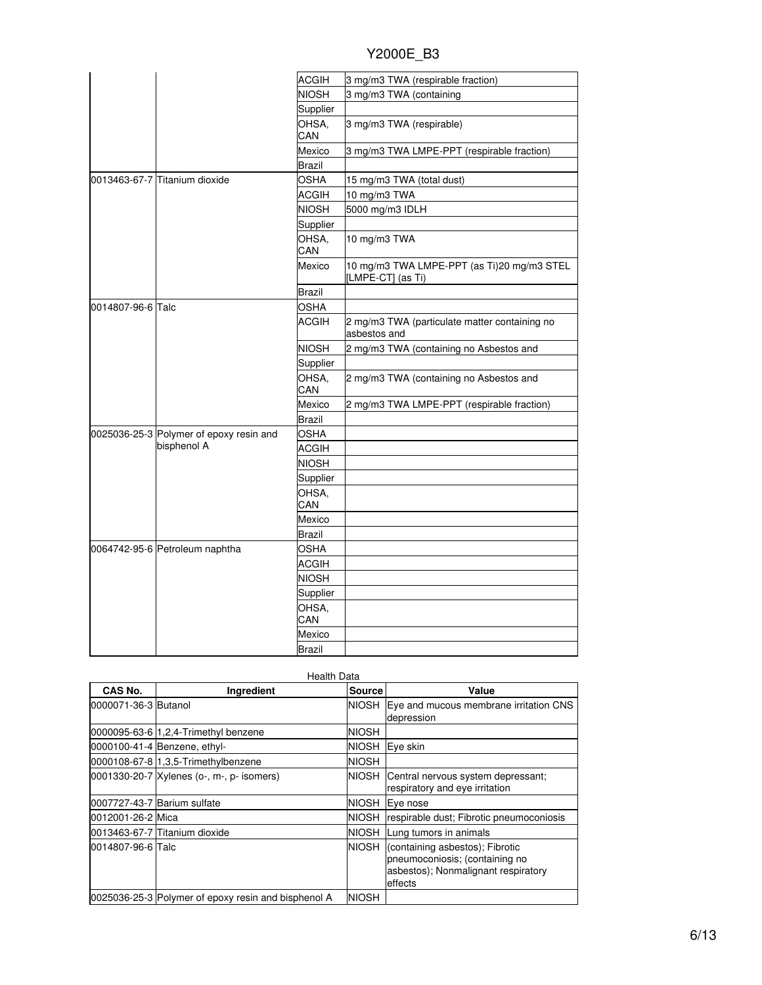|                   |                                         | <b>ACGIH</b> | 3 mg/m3 TWA (respirable fraction)                               |
|-------------------|-----------------------------------------|--------------|-----------------------------------------------------------------|
|                   |                                         | <b>NIOSH</b> | 3 mg/m3 TWA (containing                                         |
|                   |                                         | Supplier     |                                                                 |
|                   |                                         | OHSA.<br>CAN | 3 mg/m3 TWA (respirable)                                        |
|                   |                                         | Mexico       | 3 mg/m3 TWA LMPE-PPT (respirable fraction)                      |
|                   |                                         | Brazil       |                                                                 |
|                   | 0013463-67-7 Titanium dioxide           | <b>OSHA</b>  | 15 mg/m3 TWA (total dust)                                       |
|                   |                                         | <b>ACGIH</b> | 10 mg/m3 TWA                                                    |
|                   |                                         | <b>NIOSH</b> | 5000 mg/m3 IDLH                                                 |
|                   |                                         | Supplier     |                                                                 |
|                   |                                         | OHSA,<br>CAN | 10 mg/m3 TWA                                                    |
|                   |                                         | Mexico       | 10 mg/m3 TWA LMPE-PPT (as Ti)20 mg/m3 STEL<br>[LMPE-CT] (as Ti) |
|                   |                                         | Brazil       |                                                                 |
| 0014807-96-6 Talc |                                         | OSHA         |                                                                 |
|                   |                                         | ACGIH        | 2 mg/m3 TWA (particulate matter containing no<br>asbestos and   |
|                   |                                         | <b>NIOSH</b> | 2 mg/m3 TWA (containing no Asbestos and                         |
|                   |                                         | Supplier     |                                                                 |
|                   |                                         | OHSA,<br>CAN | 2 mg/m3 TWA (containing no Asbestos and                         |
|                   |                                         | Mexico       | 2 mg/m3 TWA LMPE-PPT (respirable fraction)                      |
|                   |                                         | Brazil       |                                                                 |
|                   | 0025036-25-3 Polymer of epoxy resin and | <b>OSHA</b>  |                                                                 |
|                   | bisphenol A                             | <b>ACGIH</b> |                                                                 |
|                   |                                         | <b>NIOSH</b> |                                                                 |
|                   |                                         | Supplier     |                                                                 |
|                   |                                         | OHSA,<br>CAN |                                                                 |
|                   |                                         | Mexico       |                                                                 |
|                   |                                         | Brazil       |                                                                 |
|                   | 0064742-95-6 Petroleum naphtha          | <b>OSHA</b>  |                                                                 |
|                   |                                         | ACGIH        |                                                                 |
|                   |                                         | <b>NIOSH</b> |                                                                 |
|                   |                                         | Supplier     |                                                                 |
|                   |                                         | OHSA,        |                                                                 |
|                   |                                         | CAN          |                                                                 |
|                   |                                         | Mexico       |                                                                 |
|                   |                                         | Brazil       |                                                                 |

|                      | <b>Health Data</b>                                  |               |                                                                                                                     |  |
|----------------------|-----------------------------------------------------|---------------|---------------------------------------------------------------------------------------------------------------------|--|
| CAS No.              | Ingredient                                          | <b>Source</b> | Value                                                                                                               |  |
| 0000071-36-3 Butanol |                                                     | NIOSH         | Eye and mucous membrane irritation CNS<br>depression                                                                |  |
|                      | 0000095-63-6 1,2,4-Trimethyl benzene                | <b>NIOSH</b>  |                                                                                                                     |  |
|                      | 0000100-41-4 Benzene, ethyl-                        | <b>NIOSH</b>  | Eve skin                                                                                                            |  |
|                      | 0000108-67-8 1,3,5-Trimethylbenzene                 | <b>NIOSH</b>  |                                                                                                                     |  |
|                      | 0001330-20-7 Xylenes (o-, m-, p- isomers)           | NIOSH         | Central nervous system depressant;<br>respiratory and eye irritation                                                |  |
|                      | 0007727-43-7 Barium sulfate                         | <b>NIOSH</b>  | Eye nose                                                                                                            |  |
| 0012001-26-2 Mica    |                                                     | <b>NIOSH</b>  | respirable dust; Fibrotic pneumoconiosis                                                                            |  |
|                      | 0013463-67-7 Titanium dioxide                       | <b>NIOSH</b>  | Lung tumors in animals                                                                                              |  |
| 0014807-96-6 Talc    |                                                     | <b>NIOSH</b>  | (containing asbestos); Fibrotic<br>pneumoconiosis; (containing no<br>asbestos); Nonmalignant respiratory<br>effects |  |
|                      | 0025036-25-3 Polymer of epoxy resin and bisphenol A | NIOSH         |                                                                                                                     |  |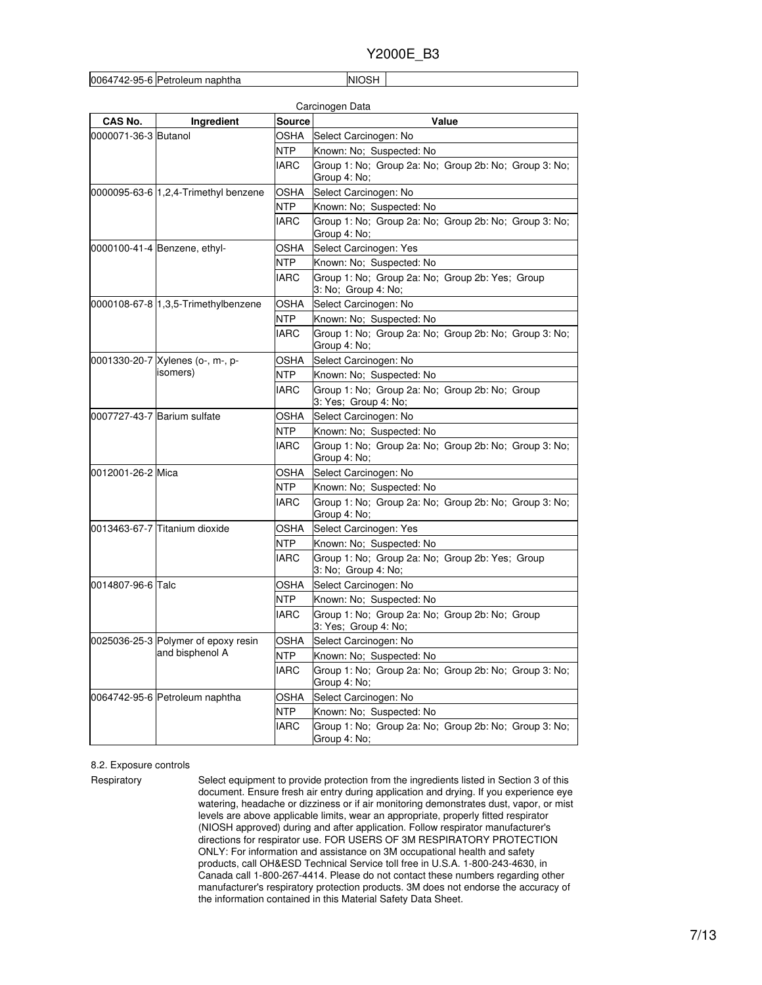```
0064742-95-6 Petroleum naphtha NIOSH
```

| CAS No.              | Ingredient                           | <b>Source</b> | Value                                                                  |
|----------------------|--------------------------------------|---------------|------------------------------------------------------------------------|
| 0000071-36-3 Butanol |                                      | OSHA          | Select Carcinogen: No                                                  |
|                      |                                      | NTP           | Known: No; Suspected: No                                               |
|                      |                                      | IARC          | Group 1: No; Group 2a: No; Group 2b: No; Group 3: No;<br>Group 4: No;  |
|                      | 0000095-63-6 1,2,4-Trimethyl benzene | OSHA          | Select Carcinogen: No                                                  |
|                      |                                      | NTP           | Known: No; Suspected: No                                               |
|                      |                                      | <b>IARC</b>   | Group 1: No; Group 2a: No; Group 2b: No; Group 3: No;<br>Group 4: No;  |
|                      | 0000100-41-4 Benzene, ethyl-         | OSHA          | Select Carcinogen: Yes                                                 |
|                      |                                      | NTP           | Known: No; Suspected: No                                               |
|                      |                                      | <b>IARC</b>   | Group 1: No; Group 2a: No; Group 2b: Yes; Group<br>3: No; Group 4: No; |
|                      | 0000108-67-8 1,3,5-Trimethylbenzene  | OSHA          | Select Carcinogen: No                                                  |
|                      |                                      | NTP.          | Known: No; Suspected: No                                               |
|                      |                                      | <b>IARC</b>   | Group 1: No; Group 2a: No; Group 2b: No; Group 3: No;<br>Group 4: No;  |
|                      | 0001330-20-7 Xylenes (o-, m-, p-     | OSHA          | Select Carcinogen: No                                                  |
|                      | isomers)                             | <b>NTP</b>    | Known: No: Suspected: No                                               |
|                      |                                      | <b>IARC</b>   | Group 1: No; Group 2a: No; Group 2b: No; Group<br>3: Yes; Group 4: No; |
|                      | 0007727-43-7 Barium sulfate          | OSHA          | Select Carcinogen: No                                                  |
|                      |                                      | NTP           | Known: No; Suspected: No                                               |
|                      |                                      | <b>IARC</b>   | Group 1: No; Group 2a: No; Group 2b: No; Group 3: No;<br>Group 4: No;  |
| 0012001-26-2 Mica    |                                      | OSHA          | Select Carcinogen: No                                                  |
|                      |                                      | NTP           | Known: No; Suspected: No                                               |
|                      |                                      | <b>IARC</b>   | Group 1: No: Group 2a: No: Group 2b: No: Group 3: No:<br>Group 4: No;  |
|                      | 0013463-67-7 Titanium dioxide        | OSHA          | Select Carcinogen: Yes                                                 |
|                      |                                      | NTP           | Known: No; Suspected: No                                               |
|                      |                                      | IARC          | Group 1: No; Group 2a: No; Group 2b: Yes; Group<br>3: No; Group 4: No; |
| 0014807-96-6 Talc    |                                      | OSHA          | Select Carcinogen: No                                                  |
|                      |                                      | NTP           | Known: No; Suspected: No                                               |
|                      |                                      | <b>IARC</b>   | Group 1: No; Group 2a: No; Group 2b: No; Group<br>3: Yes; Group 4: No; |
|                      | 0025036-25-3 Polymer of epoxy resin  | OSHA          | Select Carcinogen: No                                                  |
|                      | and bisphenol A                      | NTP           | Known: No; Suspected: No                                               |
|                      |                                      | <b>IARC</b>   | Group 1: No: Group 2a: No: Group 2b: No: Group 3: No:<br>Group 4: No;  |
|                      | 0064742-95-6 Petroleum naphtha       | OSHA          | Select Carcinogen: No                                                  |
|                      |                                      | <b>NTP</b>    | Known: No; Suspected: No                                               |
|                      |                                      | IARC          | Group 1: No; Group 2a: No; Group 2b: No; Group 3: No;<br>Group 4: No;  |

#### 8.2. Exposure controls

Respiratory Select equipment to provide protection from the ingredients listed in Section 3 of this document. Ensure fresh air entry during application and drying. If you experience eye watering, headache or dizziness or if air monitoring demonstrates dust, vapor, or mist levels are above applicable limits, wear an appropriate, properly fitted respirator (NIOSH approved) during and after application. Follow respirator manufacturer's directions for respirator use. FOR USERS OF 3M RESPIRATORY PROTECTION ONLY: For information and assistance on 3M occupational health and safety products, call OH&ESD Technical Service toll free in U.S.A. 1-800-243-4630, in Canada call 1-800-267-4414. Please do not contact these numbers regarding other manufacturer's respiratory protection products. 3M does not endorse the accuracy of the information contained in this Material Safety Data Sheet.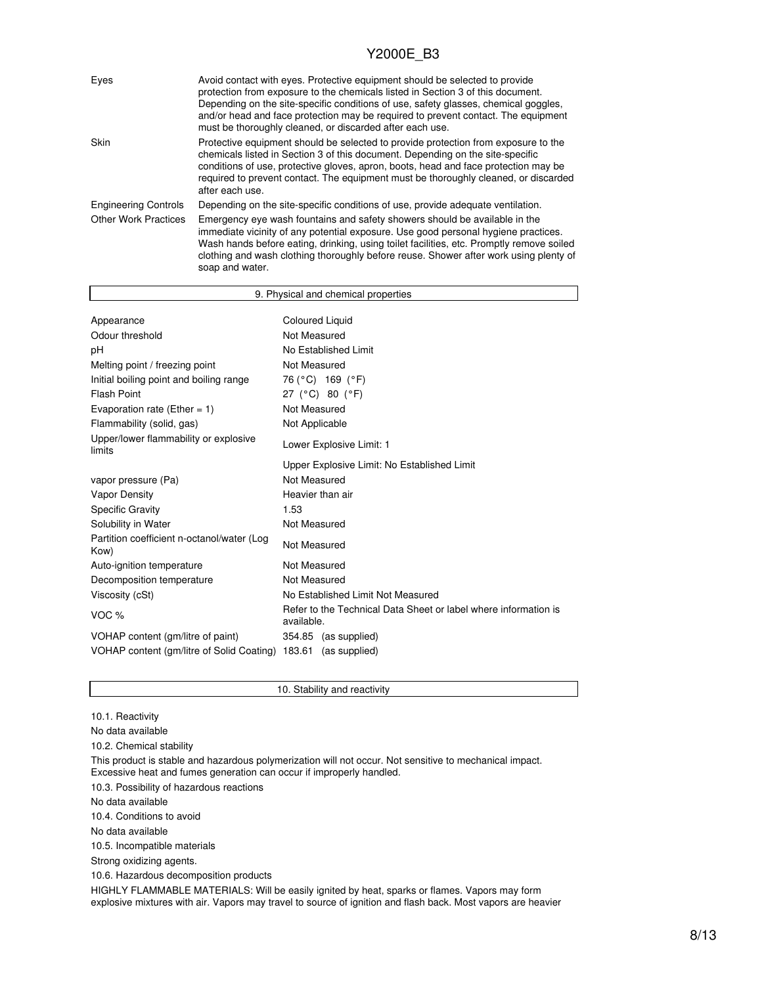| Eyes                        | Avoid contact with eyes. Protective equipment should be selected to provide<br>protection from exposure to the chemicals listed in Section 3 of this document.<br>Depending on the site-specific conditions of use, safety glasses, chemical goggles,<br>and/or head and face protection may be required to prevent contact. The equipment<br>must be thoroughly cleaned, or discarded after each use. |
|-----------------------------|--------------------------------------------------------------------------------------------------------------------------------------------------------------------------------------------------------------------------------------------------------------------------------------------------------------------------------------------------------------------------------------------------------|
| Skin                        | Protective equipment should be selected to provide protection from exposure to the<br>chemicals listed in Section 3 of this document. Depending on the site-specific<br>conditions of use, protective gloves, apron, boots, head and face protection may be<br>required to prevent contact. The equipment must be thoroughly cleaned, or discarded<br>after each use.                                  |
| <b>Engineering Controls</b> | Depending on the site-specific conditions of use, provide adequate ventilation.                                                                                                                                                                                                                                                                                                                        |
| <b>Other Work Practices</b> | Emergency eye wash fountains and safety showers should be available in the<br>immediate vicinity of any potential exposure. Use good personal hygiene practices.<br>Wash hands before eating, drinking, using toilet facilities, etc. Promptly remove soiled<br>clothing and wash clothing thoroughly before reuse. Shower after work using plenty of<br>soap and water.                               |

| 9. Physical and chemical properties                |                                                                               |  |  |
|----------------------------------------------------|-------------------------------------------------------------------------------|--|--|
|                                                    |                                                                               |  |  |
| Appearance                                         | <b>Coloured Liquid</b>                                                        |  |  |
| Odour threshold                                    | Not Measured                                                                  |  |  |
| рH                                                 | No Established Limit                                                          |  |  |
| Melting point / freezing point                     | Not Measured                                                                  |  |  |
| Initial boiling point and boiling range            | 76 (°C) 169 (°F)                                                              |  |  |
| <b>Flash Point</b>                                 | 27 (°C) 80 (°F)                                                               |  |  |
| Evaporation rate (Ether = $1$ )                    | Not Measured                                                                  |  |  |
| Flammability (solid, gas)                          | Not Applicable                                                                |  |  |
| Upper/lower flammability or explosive<br>limits    | Lower Explosive Limit: 1                                                      |  |  |
|                                                    | Upper Explosive Limit: No Established Limit                                   |  |  |
| vapor pressure (Pa)                                | Not Measured                                                                  |  |  |
| <b>Vapor Density</b>                               | Heavier than air                                                              |  |  |
| <b>Specific Gravity</b>                            | 1.53                                                                          |  |  |
| Solubility in Water                                | Not Measured                                                                  |  |  |
| Partition coefficient n-octanol/water (Log<br>Kow) | Not Measured                                                                  |  |  |
| Auto-ignition temperature                          | Not Measured                                                                  |  |  |
| Decomposition temperature                          | Not Measured                                                                  |  |  |
| Viscosity (cSt)                                    | No Established Limit Not Measured                                             |  |  |
| VOC %                                              | Refer to the Technical Data Sheet or label where information is<br>available. |  |  |
| VOHAP content (gm/litre of paint)                  | 354.85 (as supplied)                                                          |  |  |
| VOHAP content (gm/litre of Solid Coating)          | 183.61<br>(as supplied)                                                       |  |  |

10.1. Reactivity

No data available

10.2. Chemical stability

This product is stable and hazardous polymerization will not occur. Not sensitive to mechanical impact. Excessive heat and fumes generation can occur if improperly handled.

10. Stability and reactivity

10.3. Possibility of hazardous reactions

No data available

10.4. Conditions to avoid

No data available

10.5. Incompatible materials

Strong oxidizing agents.

10.6. Hazardous decomposition products

HIGHLY FLAMMABLE MATERIALS: Will be easily ignited by heat, sparks or flames. Vapors may form explosive mixtures with air. Vapors may travel to source of ignition and flash back. Most vapors are heavier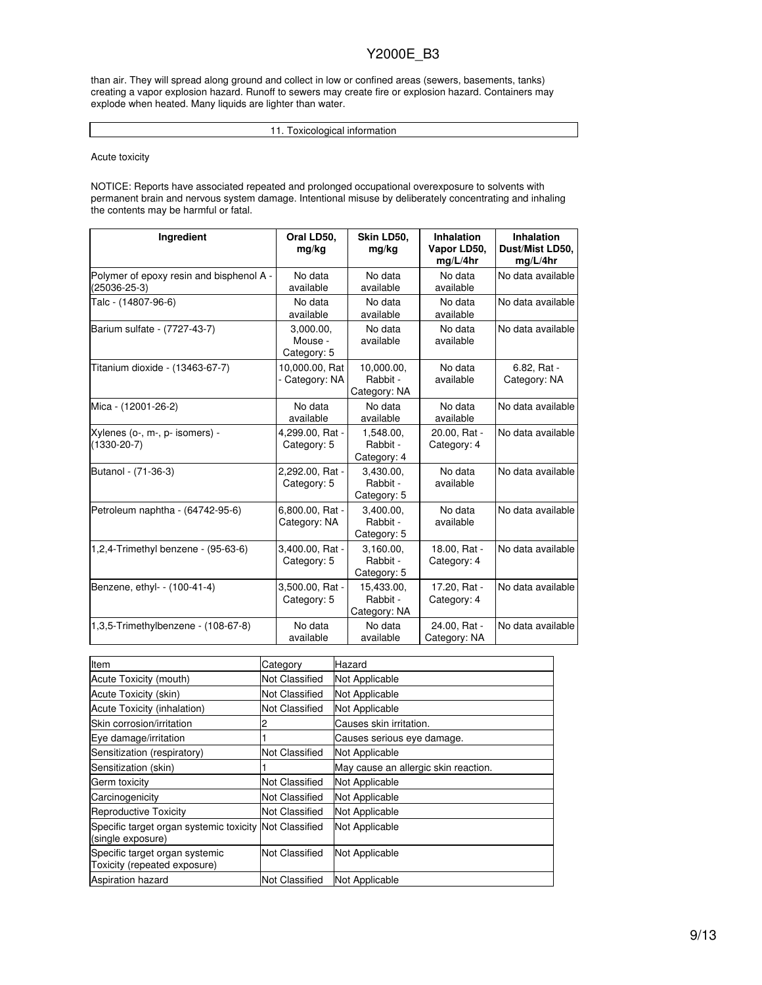than air. They will spread along ground and collect in low or confined areas (sewers, basements, tanks) creating a vapor explosion hazard. Runoff to sewers may create fire or explosion hazard. Containers may explode when heated. Many liquids are lighter than water.

11. Toxicological information

Acute toxicity

NOTICE: Reports have associated repeated and prolonged occupational overexposure to solvents with permanent brain and nervous system damage. Intentional misuse by deliberately concentrating and inhaling the contents may be harmful or fatal.

| Ingredient                                               | Oral LD50,<br>mg/kg                 | Skin LD50,<br>mg/kg                    | <b>Inhalation</b><br>Vapor LD50,<br>mg/L/4hr | <b>Inhalation</b><br>Dust/Mist LD50,<br>mg/L/4hr |
|----------------------------------------------------------|-------------------------------------|----------------------------------------|----------------------------------------------|--------------------------------------------------|
| Polymer of epoxy resin and bisphenol A -<br>(25036-25-3) | No data<br>available                | No data<br>available                   | No data<br>available                         | No data available                                |
| Talc - (14807-96-6)                                      | No data<br>available                | No data<br>available                   | No data<br>available                         | No data available                                |
| Barium sulfate - (7727-43-7)                             | 3,000.00,<br>Mouse -<br>Category: 5 | No data<br>available                   | No data<br>available                         | No data available                                |
| Titanium dioxide - (13463-67-7)                          | 10,000.00, Rat<br>- Category: NA    | 10,000.00,<br>Rabbit -<br>Category: NA | No data<br>available                         | 6.82, Rat -<br>Category: NA                      |
| Mica - (12001-26-2)                                      | No data<br>available                | No data<br>available                   | No data<br>available                         | No data available                                |
| Xylenes (o-, m-, p- isomers) -<br>$(1330-20-7)$          | 4,299.00, Rat -<br>Category: 5      | 1,548.00,<br>Rabbit -<br>Category: 4   | 20.00, Rat -<br>Category: 4                  | No data available                                |
| Butanol - (71-36-3)                                      | 2,292.00, Rat -<br>Category: 5      | 3,430.00,<br>Rabbit -<br>Category: 5   | No data<br>available                         | No data available                                |
| Petroleum naphtha - (64742-95-6)                         | 6,800.00, Rat -<br>Category: NA     | 3.400.00.<br>Rabbit -<br>Category: 5   | No data<br>available                         | No data available                                |
| 1,2,4-Trimethyl benzene - (95-63-6)                      | 3,400.00, Rat -<br>Category: 5      | 3,160.00,<br>Rabbit -<br>Category: 5   | 18.00, Rat -<br>Category: 4                  | No data available                                |
| Benzene, ethyl- - (100-41-4)                             | 3,500.00, Rat -<br>Category: 5      | 15,433.00,<br>Rabbit -<br>Category: NA | 17.20, Rat -<br>Category: 4                  | No data available                                |
| 1,3,5-Trimethylbenzene - (108-67-8)                      | No data<br>available                | No data<br>available                   | 24.00, Rat -<br>Category: NA                 | No data available                                |

| Item                                                                        | Category              | Hazard                               |
|-----------------------------------------------------------------------------|-----------------------|--------------------------------------|
| Acute Toxicity (mouth)                                                      | Not Classified        | Not Applicable                       |
| Acute Toxicity (skin)                                                       | <b>Not Classified</b> | Not Applicable                       |
| Acute Toxicity (inhalation)                                                 | Not Classified        | Not Applicable                       |
| Skin corrosion/irritation                                                   |                       | Causes skin irritation.              |
| Eye damage/irritation                                                       |                       | Causes serious eye damage.           |
| Sensitization (respiratory)                                                 | <b>Not Classified</b> | Not Applicable                       |
| Sensitization (skin)                                                        |                       | May cause an allergic skin reaction. |
| Germ toxicity                                                               | Not Classified        | Not Applicable                       |
| Carcinogenicity                                                             | Not Classified        | Not Applicable                       |
| <b>Reproductive Toxicity</b>                                                | Not Classified        | Not Applicable                       |
| Specific target organ systemic toxicity Not Classified<br>(single exposure) |                       | Not Applicable                       |
| Specific target organ systemic<br>Toxicity (repeated exposure)              | <b>Not Classified</b> | Not Applicable                       |
| <b>Aspiration hazard</b>                                                    | <b>Not Classified</b> | Not Applicable                       |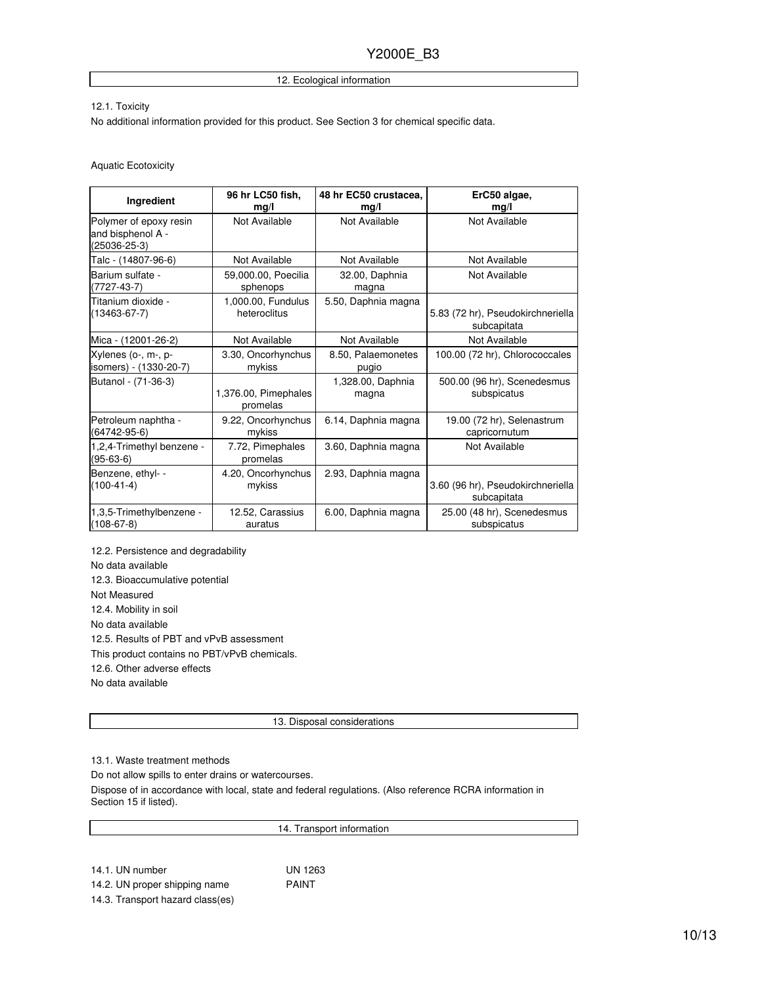#### 12. Ecological information

#### 12.1. Toxicity

No additional information provided for this product. See Section 3 for chemical specific data.

#### Aquatic Ecotoxicity

| Ingredient                                                        | 96 hr LC50 fish,             | 48 hr EC50 crustacea, | ErC50 algae,                      |
|-------------------------------------------------------------------|------------------------------|-----------------------|-----------------------------------|
|                                                                   | mq/l                         | mg/l                  | mg/l                              |
| Polymer of epoxy resin<br>and bisphenol A -<br>$(25036 - 25 - 3)$ | Not Available                | Not Available         | Not Available                     |
| Talc - (14807-96-6)                                               | Not Available                | Not Available         | Not Available                     |
| Barium sulfate -                                                  | 59,000.00, Poecilia          | 32.00, Daphnia        | Not Available                     |
| $(7727-43-7)$                                                     | sphenops                     | magna                 |                                   |
| Titanium dioxide -                                                | 1,000.00, Fundulus           | 5.50, Daphnia magna   | 5.83 (72 hr), Pseudokirchneriella |
| $(13463 - 67 - 7)$                                                | heteroclitus                 |                       | subcapitata                       |
| Mica - (12001-26-2)                                               | Not Available                | Not Available         | Not Available                     |
| Xylenes (o-, m-, p-                                               | 3.30, Oncorhynchus           | 8.50, Palaemonetes    | 100.00 (72 hr), Chlorococcales    |
| isomers) - (1330-20-7)                                            | mykiss                       | pugio                 |                                   |
| Butanol - (71-36-3)                                               | 1,376.00, Pimephales         | 1,328.00, Daphnia     | 500.00 (96 hr), Scenedesmus       |
|                                                                   | promelas                     | magna                 | subspicatus                       |
| Petroleum naphtha -                                               | 9.22, Oncorhynchus           | 6.14, Daphnia magna   | 19.00 (72 hr), Selenastrum        |
| (64742-95-6)                                                      | mykiss                       |                       | capricornutum                     |
| 1,2,4-Trimethyl benzene -<br>(95-63-6)                            | 7.72, Pimephales<br>promelas | 3.60, Daphnia magna   | Not Available                     |
| Benzene, ethyl- -                                                 | 4.20, Oncorhynchus           | 2.93, Daphnia magna   | 3.60 (96 hr), Pseudokirchneriella |
| $(100-41-4)$                                                      | mykiss                       |                       | subcapitata                       |
| 1,3,5-Trimethylbenzene -                                          | 12.52, Carassius             | 6.00, Daphnia magna   | 25.00 (48 hr), Scenedesmus        |
| $(108-67-8)$                                                      | auratus                      |                       | subspicatus                       |

12.2. Persistence and degradability No data available 12.3. Bioaccumulative potential Not Measured 12.4. Mobility in soil No data available 12.5. Results of PBT and vPvB assessment This product contains no PBT/vPvB chemicals. 12.6. Other adverse effects No data available

13. Disposal considerations

14. Transport information

13.1. Waste treatment methods

Do not allow spills to enter drains or watercourses.

Dispose of in accordance with local, state and federal regulations. (Also reference RCRA information in Section 15 if listed).

14.1. UN number UN 1263 14.2. UN proper shipping name PAINT

14.3. Transport hazard class(es)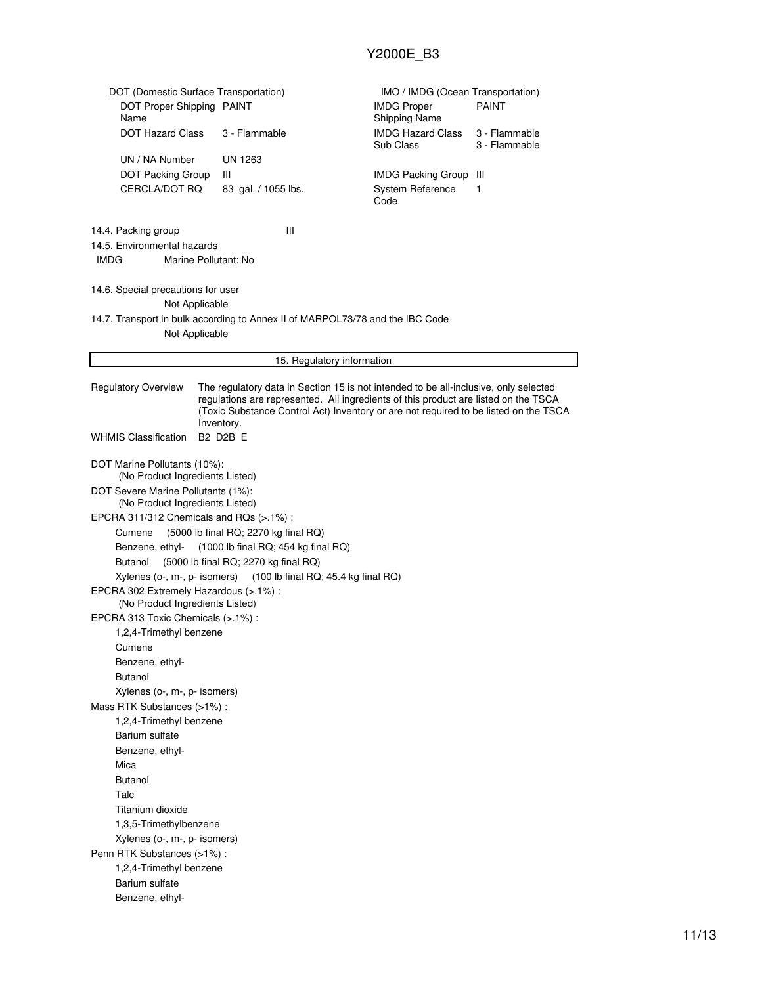| DOT (Domestic Surface Transportation)<br>DOT Proper Shipping PAINT                                                                                                                                                                                                                                              |                                       | IMO / IMDG (Ocean Transportation)<br><b>IMDG Proper</b>       | <b>PAINT</b>                   |  |
|-----------------------------------------------------------------------------------------------------------------------------------------------------------------------------------------------------------------------------------------------------------------------------------------------------------------|---------------------------------------|---------------------------------------------------------------|--------------------------------|--|
| Name<br><b>DOT Hazard Class</b>                                                                                                                                                                                                                                                                                 | 3 - Flammable                         | <b>Shipping Name</b><br><b>IMDG Hazard Class</b><br>Sub Class | 3 - Flammable<br>3 - Flammable |  |
| UN / NA Number                                                                                                                                                                                                                                                                                                  | UN 1263                               |                                                               |                                |  |
| DOT Packing Group                                                                                                                                                                                                                                                                                               | Ш                                     | <b>IMDG Packing Group</b>                                     | Ш                              |  |
| CERCLA/DOT RQ                                                                                                                                                                                                                                                                                                   | 83 gal. / 1055 lbs.                   | System Reference                                              | 1                              |  |
|                                                                                                                                                                                                                                                                                                                 |                                       | Code                                                          |                                |  |
| 14.4. Packing group<br>14.5. Environmental hazards<br>Marine Pollutant: No<br>IMDG                                                                                                                                                                                                                              | Ш                                     |                                                               |                                |  |
| 14.6. Special precautions for user                                                                                                                                                                                                                                                                              |                                       |                                                               |                                |  |
| Not Applicable                                                                                                                                                                                                                                                                                                  |                                       |                                                               |                                |  |
| 14.7. Transport in bulk according to Annex II of MARPOL73/78 and the IBC Code<br>Not Applicable                                                                                                                                                                                                                 |                                       |                                                               |                                |  |
|                                                                                                                                                                                                                                                                                                                 | 15. Regulatory information            |                                                               |                                |  |
| The regulatory data in Section 15 is not intended to be all-inclusive, only selected<br><b>Regulatory Overview</b><br>regulations are represented. All ingredients of this product are listed on the TSCA<br>(Toxic Substance Control Act) Inventory or are not required to be listed on the TSCA<br>Inventory. |                                       |                                                               |                                |  |
| <b>WHMIS Classification</b>                                                                                                                                                                                                                                                                                     | B2 D2B E                              |                                                               |                                |  |
| DOT Marine Pollutants (10%):                                                                                                                                                                                                                                                                                    |                                       |                                                               |                                |  |
| (No Product Ingredients Listed)                                                                                                                                                                                                                                                                                 |                                       |                                                               |                                |  |
| DOT Severe Marine Pollutants (1%):<br>(No Product Ingredients Listed)                                                                                                                                                                                                                                           |                                       |                                                               |                                |  |
| EPCRA 311/312 Chemicals and RQs (>.1%):                                                                                                                                                                                                                                                                         |                                       |                                                               |                                |  |
| Cumene                                                                                                                                                                                                                                                                                                          | (5000 lb final RQ; 2270 kg final RQ)  |                                                               |                                |  |
| Benzene, ethyl-                                                                                                                                                                                                                                                                                                 | $(1000$ lb final RQ; 454 kg final RQ) |                                                               |                                |  |
| Butanol                                                                                                                                                                                                                                                                                                         | (5000 lb final RQ; 2270 kg final RQ)  |                                                               |                                |  |
| Xylenes (o-, m-, p- isomers)                                                                                                                                                                                                                                                                                    | $(100$ lb final RQ; 45.4 kg final RQ) |                                                               |                                |  |
| EPCRA 302 Extremely Hazardous (>.1%) :<br>(No Product Ingredients Listed)                                                                                                                                                                                                                                       |                                       |                                                               |                                |  |
| EPCRA 313 Toxic Chemicals (>.1%) :                                                                                                                                                                                                                                                                              |                                       |                                                               |                                |  |
| 1,2,4-Trimethyl benzene                                                                                                                                                                                                                                                                                         |                                       |                                                               |                                |  |
| Cumene                                                                                                                                                                                                                                                                                                          |                                       |                                                               |                                |  |
| Benzene, ethyl-                                                                                                                                                                                                                                                                                                 |                                       |                                                               |                                |  |
| <b>Butanol</b>                                                                                                                                                                                                                                                                                                  |                                       |                                                               |                                |  |
| Xylenes (o-, m-, p- isomers)                                                                                                                                                                                                                                                                                    |                                       |                                                               |                                |  |
| Mass RTK Substances (>1%):                                                                                                                                                                                                                                                                                      |                                       |                                                               |                                |  |
| 1,2,4-Trimethyl benzene                                                                                                                                                                                                                                                                                         |                                       |                                                               |                                |  |
| Barium sulfate                                                                                                                                                                                                                                                                                                  |                                       |                                                               |                                |  |
| Benzene, ethyl-                                                                                                                                                                                                                                                                                                 |                                       |                                                               |                                |  |
| Mica                                                                                                                                                                                                                                                                                                            |                                       |                                                               |                                |  |
| <b>Butanol</b>                                                                                                                                                                                                                                                                                                  |                                       |                                                               |                                |  |
| Talc                                                                                                                                                                                                                                                                                                            |                                       |                                                               |                                |  |
| Titanium dioxide                                                                                                                                                                                                                                                                                                |                                       |                                                               |                                |  |
| 1,3,5-Trimethylbenzene                                                                                                                                                                                                                                                                                          |                                       |                                                               |                                |  |
| Xylenes (o-, m-, p- isomers)                                                                                                                                                                                                                                                                                    |                                       |                                                               |                                |  |
| Penn RTK Substances (>1%) :                                                                                                                                                                                                                                                                                     |                                       |                                                               |                                |  |
| 1,2,4-Trimethyl benzene<br>Barium sulfate                                                                                                                                                                                                                                                                       |                                       |                                                               |                                |  |
| Benzene, ethyl-                                                                                                                                                                                                                                                                                                 |                                       |                                                               |                                |  |
|                                                                                                                                                                                                                                                                                                                 |                                       |                                                               |                                |  |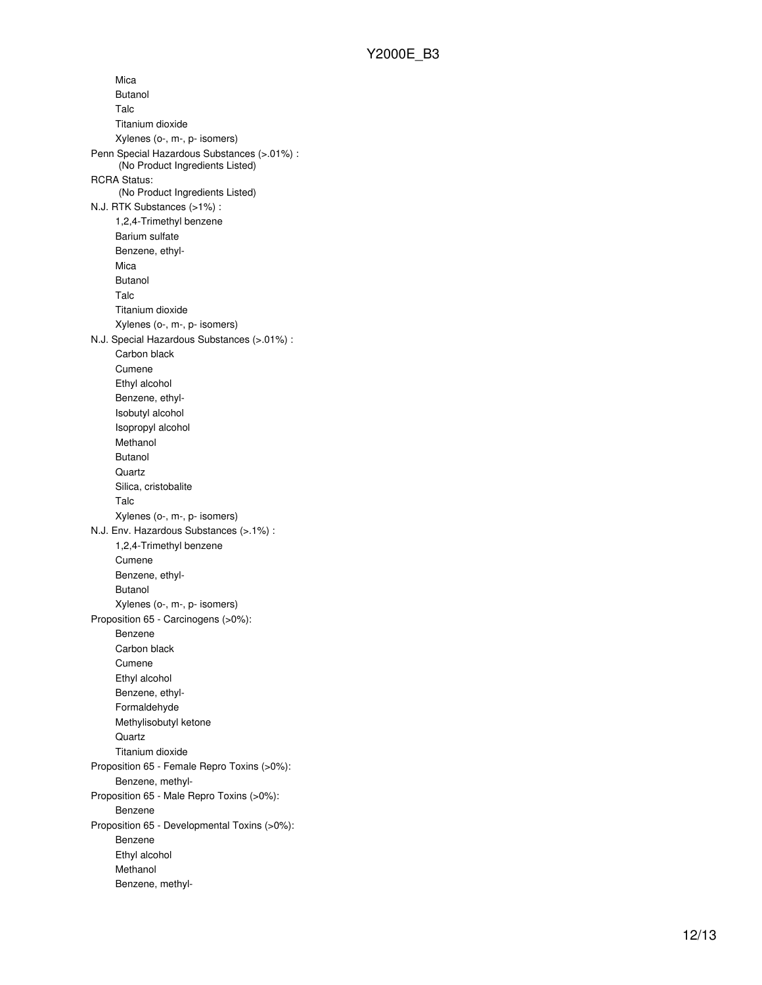Mica Butanol Talc Titanium dioxide Xylenes (o-, m-, p- isomers) Penn Special Hazardous Substances (>.01%) : (No Product Ingredients Listed) RCRA Status: (No Product Ingredients Listed) N.J. RTK Substances (>1%) : 1,2,4-Trimethyl benzene Barium sulfate Benzene, ethyl-Mica Butanol Talc Titanium dioxide Xylenes (o-, m-, p- isomers) N.J. Special Hazardous Substances (>.01%) : Carbon black Cumene Ethyl alcohol Benzene, ethyl-Isobutyl alcohol Isopropyl alcohol Methanol Butanol Quartz Silica, cristobalite Talc Xylenes (o-, m-, p- isomers) N.J. Env. Hazardous Substances (>.1%) : 1,2,4-Trimethyl benzene Cumene Benzene, ethyl-Butanol Xylenes (o-, m-, p- isomers) Proposition 65 - Carcinogens (>0%): Benzene Carbon black Cumene Ethyl alcohol Benzene, ethyl-Formaldehyde Methylisobutyl ketone Quartz Titanium dioxide Proposition 65 - Female Repro Toxins (>0%): Benzene, methyl-Proposition 65 - Male Repro Toxins (>0%): Benzene Proposition 65 - Developmental Toxins (>0%): Benzene Ethyl alcohol Methanol Benzene, methyl-